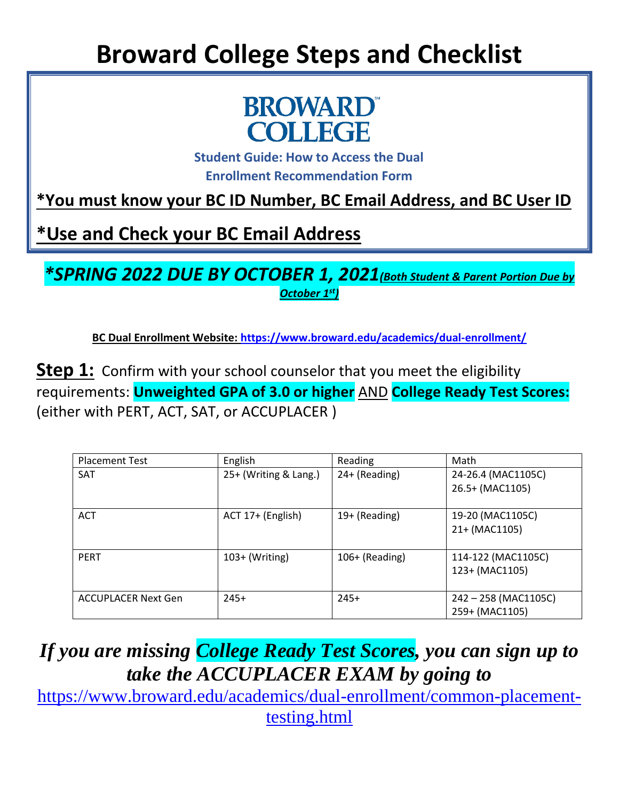## **Broward College Steps and Checklist**



**Student Guide: How to Access the Dual Enrollment Recommendation Form**

**\*You must know your BC ID Number, BC Email Address, and BC User ID**

**\*Use and Check your BC Email Address** 

*\*SPRING 2022 DUE BY OCTOBER 1, 2021(Both Student & Parent Portion Due by October 1st)*

**BC Dual Enrollment Website:<https://www.broward.edu/academics/dual-enrollment/>**

**Step 1:** Confirm with your school counselor that you meet the eligibility requirements: **Unweighted GPA of 3.0 or higher** AND **College Ready Test Scores:** (either with PERT, ACT, SAT, or ACCUPLACER )

| <b>Placement Test</b>      | English               | Reading        | Math                 |
|----------------------------|-----------------------|----------------|----------------------|
|                            |                       |                |                      |
| <b>SAT</b>                 | 25+ (Writing & Lang.) | 24+ (Reading)  | 24-26.4 (MAC1105C)   |
|                            |                       |                | 26.5+ (MAC1105)      |
|                            |                       |                |                      |
| <b>ACT</b>                 | ACT 17+ (English)     | 19+ (Reading)  | 19-20 (MAC1105C)     |
|                            |                       |                | 21+ (MAC1105)        |
|                            |                       |                |                      |
| <b>PERT</b>                | $103+$ (Writing)      | 106+ (Reading) | 114-122 (MAC1105C)   |
|                            |                       |                | 123+ (MAC1105)       |
|                            |                       |                |                      |
| <b>ACCUPLACER Next Gen</b> | $245+$                | $245+$         | 242 - 258 (MAC1105C) |
|                            |                       |                | 259+ (MAC1105)       |

*If you are missing College Ready Test Scores, you can sign up to take the ACCUPLACER EXAM by going to*

[https://www.broward.edu/academics/dual-enrollment/common-placement](https://www.broward.edu/academics/dual-enrollment/common-placement-testing.html)[testing.html](https://www.broward.edu/academics/dual-enrollment/common-placement-testing.html)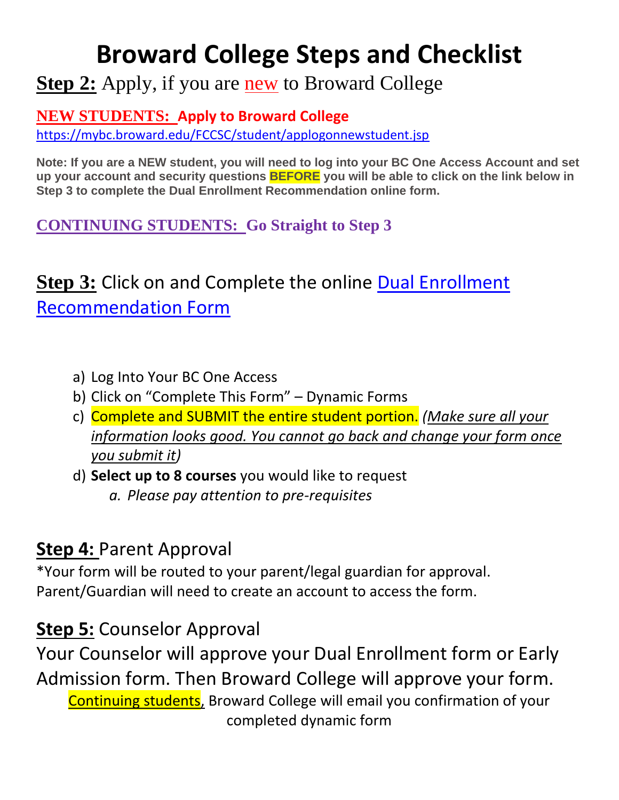## **Broward College Steps and Checklist**

**Step 2:** Apply, if you are **new** to Broward College

**NEW STUDENTS: Apply to Broward College**

<https://mybc.broward.edu/FCCSC/student/applogonnewstudent.jsp>

**Note: If you are a NEW student, you will need to log into your BC One Access Account and set up your account and security questions BEFORE you will be able to click on the link below in Step 3 to complete the Dual Enrollment Recommendation online form.**

**CONTINUING STUDENTS: Go Straight to Step 3**

### **Step 3:** Click on and Complete the online [Dual Enrollment](https://nextgensso.com/sp/startSSO.ping?PartnerIdpId=https://app.onelogin.com/saml/metadata/794707&SpSessionAuthnAdapterId=browardDF&TargetResource=https%3a%2f%2fdynamicforms.ngwebsolutions.com%2fSubmit%2fStart%2f76b53e1a-5598-4750-9b44-0ff97f13d839)  [Recommendation Form](https://nextgensso.com/sp/startSSO.ping?PartnerIdpId=https://app.onelogin.com/saml/metadata/794707&SpSessionAuthnAdapterId=browardDF&TargetResource=https%3a%2f%2fdynamicforms.ngwebsolutions.com%2fSubmit%2fStart%2f76b53e1a-5598-4750-9b44-0ff97f13d839)

- a) Log Into Your BC One Access
- b) Click on "Complete This Form" Dynamic Forms
- c) Complete and SUBMIT the entire student portion. *(Make sure all your information looks good. You cannot go back and change your form once you submit it)*
- d) **Select up to 8 courses** you would like to request *a. Please pay attention to pre-requisites*

#### **Step 4:** Parent Approval

\*Your form will be routed to your parent/legal guardian for approval. Parent/Guardian will need to create an account to access the form.

#### **Step 5:** Counselor Approval

Your Counselor will approve your Dual Enrollment form or Early Admission form. Then Broward College will approve your form. Continuing students, Broward College will email you confirmation of your completed dynamic form